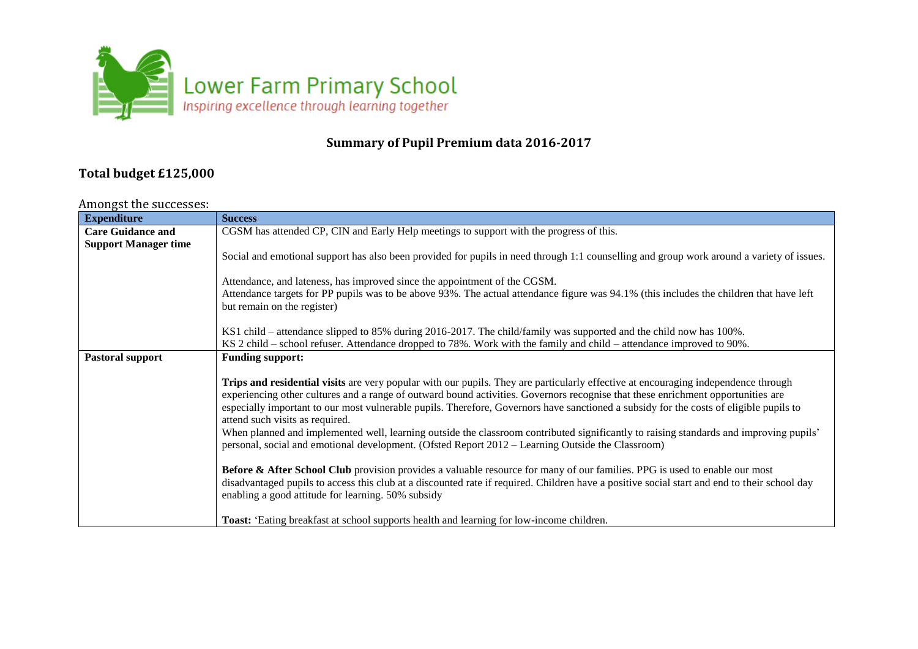

## **Summary of Pupil Premium data 2016-2017**

## **Total budget £125,000**

## Amongst the successes:

| <b>Expenditure</b>          | <b>Success</b>                                                                                                                                                            |
|-----------------------------|---------------------------------------------------------------------------------------------------------------------------------------------------------------------------|
| <b>Care Guidance and</b>    | CGSM has attended CP, CIN and Early Help meetings to support with the progress of this.                                                                                   |
| <b>Support Manager time</b> |                                                                                                                                                                           |
|                             | Social and emotional support has also been provided for pupils in need through 1:1 counselling and group work around a variety of issues.                                 |
|                             |                                                                                                                                                                           |
|                             | Attendance, and lateness, has improved since the appointment of the CGSM.                                                                                                 |
|                             | Attendance targets for PP pupils was to be above 93%. The actual attendance figure was 94.1% (this includes the children that have left                                   |
|                             | but remain on the register)                                                                                                                                               |
|                             |                                                                                                                                                                           |
|                             | KS1 child – attendance slipped to 85% during 2016-2017. The child/family was supported and the child now has 100%.                                                        |
|                             | KS 2 child – school refuser. Attendance dropped to 78%. Work with the family and child – attendance improved to 90%.                                                      |
| Pastoral support            | <b>Funding support:</b>                                                                                                                                                   |
|                             |                                                                                                                                                                           |
|                             | Trips and residential visits are very popular with our pupils. They are particularly effective at encouraging independence through                                        |
|                             | experiencing other cultures and a range of outward bound activities. Governors recognise that these enrichment opportunities are                                          |
|                             | especially important to our most vulnerable pupils. Therefore, Governors have sanctioned a subsidy for the costs of eligible pupils to<br>attend such visits as required. |
|                             | When planned and implemented well, learning outside the classroom contributed significantly to raising standards and improving pupils'                                    |
|                             | personal, social and emotional development. (Ofsted Report 2012 – Learning Outside the Classroom)                                                                         |
|                             |                                                                                                                                                                           |
|                             | <b>Before &amp; After School Club</b> provision provides a valuable resource for many of our families. PPG is used to enable our most                                     |
|                             | disadvantaged pupils to access this club at a discounted rate if required. Children have a positive social start and end to their school day                              |
|                             | enabling a good attitude for learning. 50% subsidy                                                                                                                        |
|                             |                                                                                                                                                                           |
|                             | <b>Toast:</b> 'Eating breakfast at school supports health and learning for low-income children.                                                                           |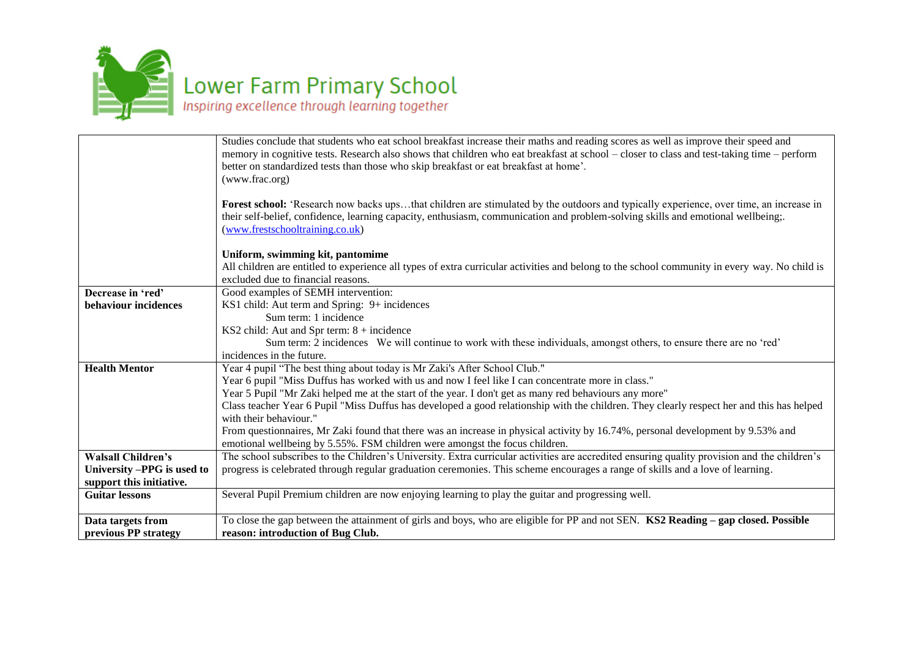

|                            | Studies conclude that students who eat school breakfast increase their maths and reading scores as well as improve their speed and            |
|----------------------------|-----------------------------------------------------------------------------------------------------------------------------------------------|
|                            | memory in cognitive tests. Research also shows that children who eat breakfast at school - closer to class and test-taking time - perform     |
|                            | better on standardized tests than those who skip breakfast or eat breakfast at home'.                                                         |
|                            | (www.frac.org)                                                                                                                                |
|                            |                                                                                                                                               |
|                            | Forest school: 'Research now backs upsthat children are stimulated by the outdoors and typically experience, over time, an increase in        |
|                            | their self-belief, confidence, learning capacity, enthusiasm, communication and problem-solving skills and emotional wellbeing;.              |
|                            | (www.frestschooltraining.co.uk)                                                                                                               |
|                            |                                                                                                                                               |
|                            | Uniform, swimming kit, pantomime                                                                                                              |
|                            | All children are entitled to experience all types of extra curricular activities and belong to the school community in every way. No child is |
|                            | excluded due to financial reasons.                                                                                                            |
| Decrease in 'red'          | Good examples of SEMH intervention:                                                                                                           |
| behaviour incidences       | KS1 child: Aut term and Spring: 9+ incidences                                                                                                 |
|                            | Sum term: 1 incidence                                                                                                                         |
|                            | KS2 child: Aut and Spr term: $8 +$ incidence                                                                                                  |
|                            | Sum term: 2 incidences We will continue to work with these individuals, amongst others, to ensure there are no 'red'                          |
|                            | incidences in the future.                                                                                                                     |
| <b>Health Mentor</b>       | Year 4 pupil "The best thing about today is Mr Zaki's After School Club."                                                                     |
|                            | Year 6 pupil "Miss Duffus has worked with us and now I feel like I can concentrate more in class."                                            |
|                            | Year 5 Pupil "Mr Zaki helped me at the start of the year. I don't get as many red behaviours any more"                                        |
|                            | Class teacher Year 6 Pupil "Miss Duffus has developed a good relationship with the children. They clearly respect her and this has helped     |
|                            | with their behaviour."                                                                                                                        |
|                            | From questionnaires, Mr Zaki found that there was an increase in physical activity by 16.74%, personal development by 9.53% and               |
|                            | emotional wellbeing by 5.55%. FSM children were amongst the focus children.                                                                   |
| <b>Walsall Children's</b>  | The school subscribes to the Children's University. Extra curricular activities are accredited ensuring quality provision and the children's  |
| University -PPG is used to | progress is celebrated through regular graduation ceremonies. This scheme encourages a range of skills and a love of learning.                |
| support this initiative.   |                                                                                                                                               |
| <b>Guitar lessons</b>      | Several Pupil Premium children are now enjoying learning to play the guitar and progressing well.                                             |
|                            |                                                                                                                                               |
| Data targets from          | To close the gap between the attainment of girls and boys, who are eligible for PP and not SEN. KS2 Reading – gap closed. Possible            |
| previous PP strategy       | reason: introduction of Bug Club.                                                                                                             |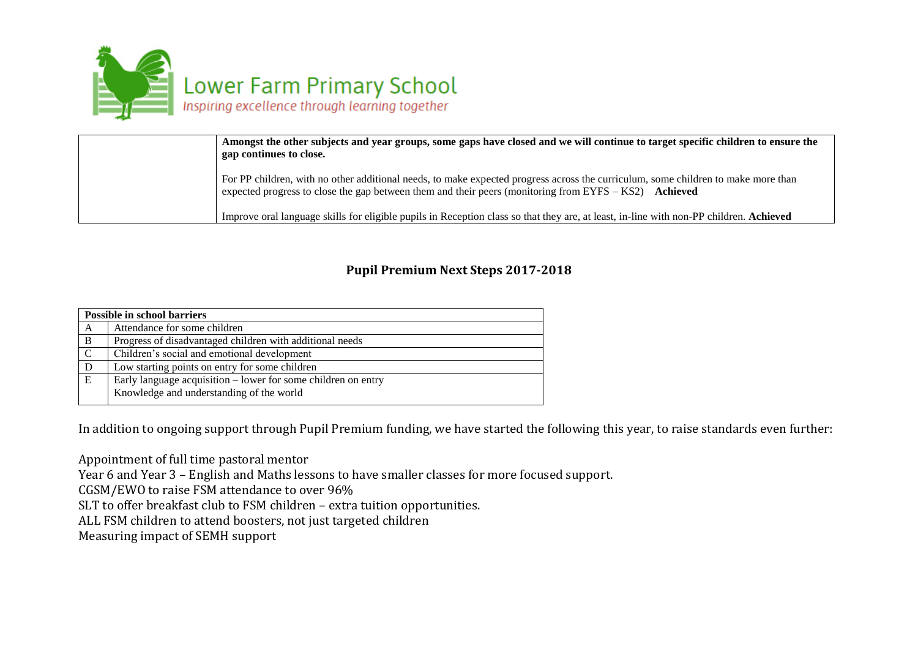

| Amongst the other subjects and year groups, some gaps have closed and we will continue to target specific children to ensure the<br>gap continues to close.                                                                                  |
|----------------------------------------------------------------------------------------------------------------------------------------------------------------------------------------------------------------------------------------------|
| For PP children, with no other additional needs, to make expected progress across the curriculum, some children to make more than<br>expected progress to close the gap between them and their peers (monitoring from EYFS $-$ KS2) Achieved |
| Improve oral language skills for eligible pupils in Reception class so that they are, at least, in-line with non-PP children. Achieved                                                                                                       |

## **Pupil Premium Next Steps 2017-2018**

| <b>Possible in school barriers</b> |                                                                 |
|------------------------------------|-----------------------------------------------------------------|
| A                                  | Attendance for some children                                    |
| $\mathbf{B}$                       | Progress of disadvantaged children with additional needs        |
| C                                  | Children's social and emotional development                     |
| D                                  | Low starting points on entry for some children                  |
| E                                  | Early language acquisition $-$ lower for some children on entry |
|                                    | Knowledge and understanding of the world                        |

In addition to ongoing support through Pupil Premium funding, we have started the following this year, to raise standards even further:

Appointment of full time pastoral mentor Year 6 and Year 3 – English and Maths lessons to have smaller classes for more focused support. CGSM/EWO to raise FSM attendance to over 96% SLT to offer breakfast club to FSM children – extra tuition opportunities. ALL FSM children to attend boosters, not just targeted children Measuring impact of SEMH support